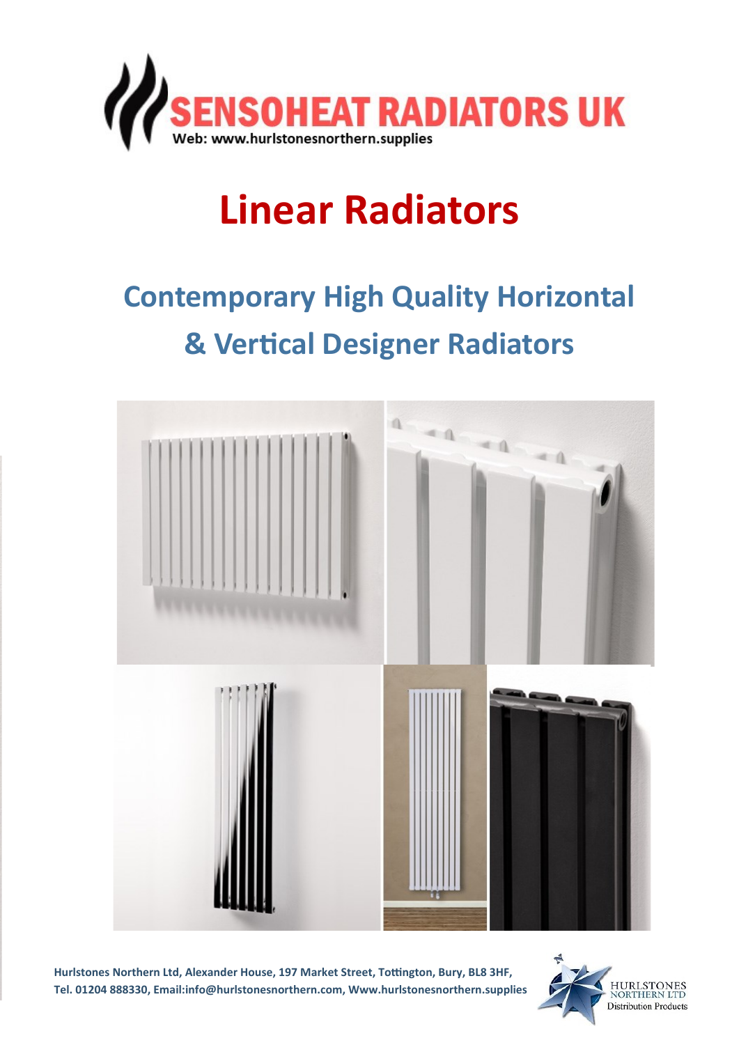

# **Linear Radiators**

## **Contemporary High Quality Horizontal & Vertical Designer Radiators**



**Hurlstones Northern Ltd, Alexander House, 197 Market Street, Tottington, Bury, BL8 3HF, Tel. 01204 888330, Email:info@hurlstonesnorthern.com, Www.hurlstonesnorthern.supplies**

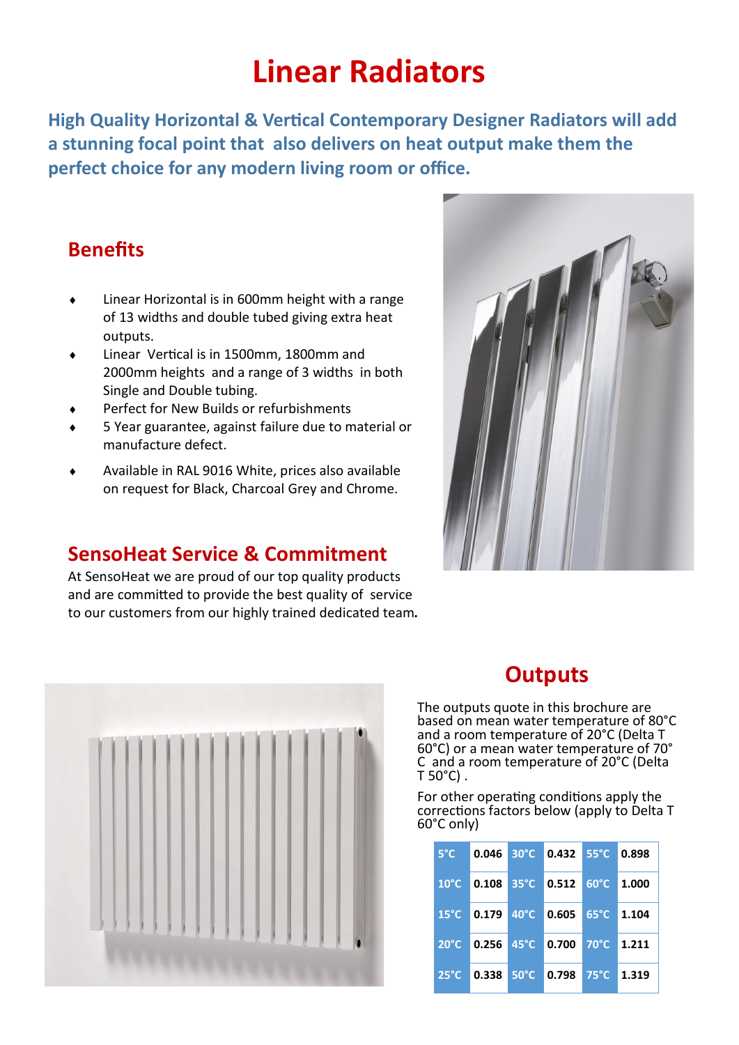### **Linear Radiators**

**High Quality Horizontal & Vertical Contemporary Designer Radiators will add a stunning focal point that also delivers on heat output make them the perfect choice for any modern living room or office.**

#### **Benefits**

- Linear Horizontal is in 600mm height with a range of 13 widths and double tubed giving extra heat outputs.
- Linear Vertical is in 1500mm, 1800mm and 2000mm heights and a range of 3 widths in both Single and Double tubing.
- Perfect for New Builds or refurbishments
- 5 Year guarantee, against failure due to material or manufacture defect.
- Available in RAL 9016 White, prices also available on request for Black, Charcoal Grey and Chrome.

#### **SensoHeat Service & Commitment**

At SensoHeat we are proud of our top quality products and are committed to provide the best quality of service to our customers from our highly trained dedicated team**.**





#### **Outputs**

The outputs quote in this brochure are based on mean water temperature of 80°C and a room temperature of 20°C (Delta T 60°C) or a mean water temperature of 70° C and a room temperature of 20°C (Delta  $T$  50 $^{\circ}$ C).

For other operating conditions apply the corrections factors below (apply to Delta T 60°C only)

| $5^{\circ}$ C  |  | 0.046 30°C 0.432 55°C 0.898      |                       |  |
|----------------|--|----------------------------------|-----------------------|--|
|                |  | 10°C 0.108 35°C 0.512 60°C 1.000 |                       |  |
| $15^{\circ}$ C |  |                                  |                       |  |
| $20^{\circ}$ C |  | 0.256 45°C 0.700 70°C 1.211      |                       |  |
| $25^{\circ}$ C |  | $0.338$ 50 $^{\circ}$ C 0.798    | $175^{\circ}$ C 1.319 |  |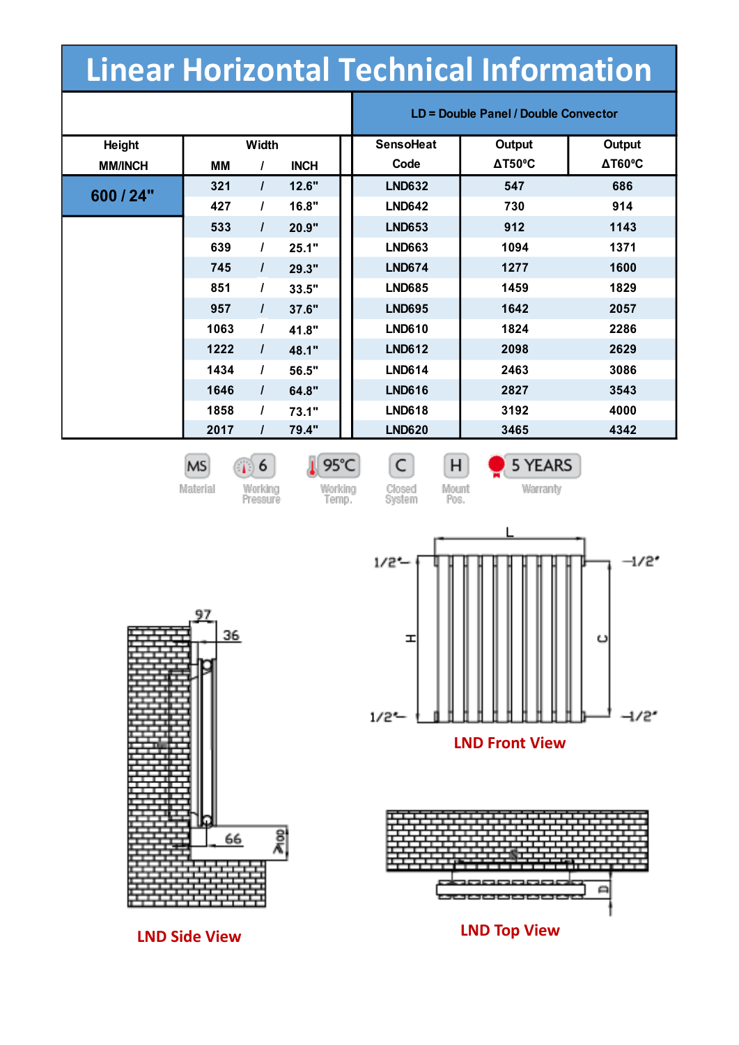### **Linear Horizontal Technical Information**

|                |       |          |             | LD = Double Panel / Double Convector |                |                       |  |
|----------------|-------|----------|-------------|--------------------------------------|----------------|-----------------------|--|
| Height         | Width |          |             | <b>SensoHeat</b>                     | Output         | Output                |  |
| <b>MM/INCH</b> | ΜМ    | $\prime$ | <b>INCH</b> | Code                                 | $\Delta$ T50°C | $\Delta T60^{\circ}C$ |  |
| 600 / 24"      | 321   | $\prime$ | 12.6"       | <b>LND632</b>                        | 547            | 686                   |  |
|                | 427   | $\prime$ | 16.8"       | <b>LND642</b>                        | 730            | 914                   |  |
|                | 533   | $\prime$ | 20.9"       | <b>LND653</b>                        | 912            | 1143                  |  |
|                | 639   | $\prime$ | 25.1"       | <b>LND663</b>                        | 1094           | 1371                  |  |
|                | 745   | $\prime$ | 29.3"       | <b>LND674</b>                        | 1277           | 1600                  |  |
|                | 851   | I        | 33.5"       | <b>LND685</b>                        | 1459           | 1829                  |  |
|                | 957   | $\prime$ | 37.6"       | <b>LND695</b>                        | 1642           | 2057                  |  |
|                | 1063  | $\prime$ | 41.8"       | <b>LND610</b>                        | 1824           | 2286                  |  |
|                | 1222  | $\prime$ | 48.1"       | <b>LND612</b>                        | 2098           | 2629                  |  |
|                | 1434  | $\prime$ | 56.5"       | <b>LND614</b>                        | 2463           | 3086                  |  |
|                | 1646  | $\prime$ | 64.8"       | <b>LND616</b>                        | 2827           | 3543                  |  |
|                | 1858  | T        | 73.1"       | <b>LND618</b>                        | 3192           | 4000                  |  |
|                | 2017  | $\prime$ | 79.4"       | <b>LND620</b>                        | 3465           | 4342                  |  |

**MS** Material

97

 $\sqrt{1}$  6 Working<br>Pressure

95°C Working<br>Temp.

C Closed<br>System

 $H$ Mount<br>Pos. 5 YEARS Warranty





36  $\overline{\widetilde{\mathsf{z}}}$ 66

**LND Side View**

**LND Top View**